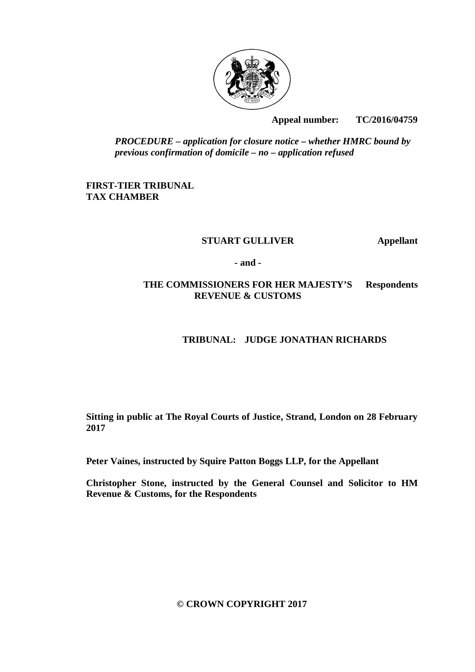

**Appeal number: TC/2016/04759** 

*PROCEDURE – application for closure notice – whether HMRC bound by previous confirmation of domicile – no – application refused*

# **FIRST-TIER TRIBUNAL TAX CHAMBER**

## **STUART GULLIVER Appellant**

**- and -**

# **THE COMMISSIONERS FOR HER MAJESTY'S Respondents REVENUE & CUSTOMS**

# **TRIBUNAL: JUDGE JONATHAN RICHARDS**

**Sitting in public at The Royal Courts of Justice, Strand, London on 28 February 2017**

**Peter Vaines, instructed by Squire Patton Boggs LLP, for the Appellant**

**Christopher Stone, instructed by the General Counsel and Solicitor to HM Revenue & Customs, for the Respondents**

**© CROWN COPYRIGHT 2017**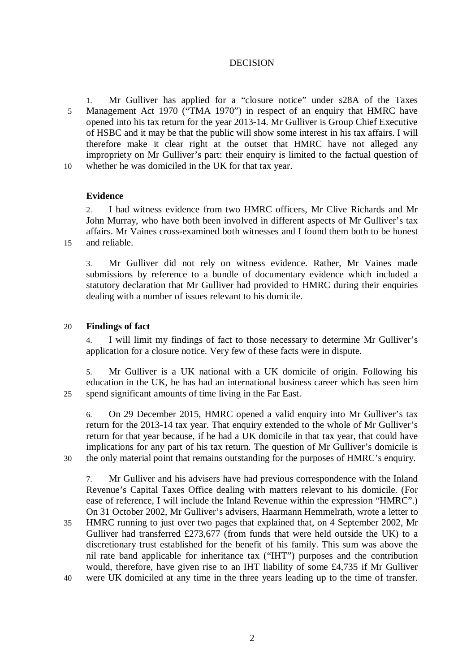## DECISION

1. Mr Gulliver has applied for a "closure notice" under s28A of the Taxes 5 Management Act 1970 ("TMA 1970") in respect of an enquiry that HMRC have opened into his tax return for the year 2013-14. Mr Gulliver is Group Chief Executive of HSBC and it may be that the public will show some interest in his tax affairs. I will therefore make it clear right at the outset that HMRC have not alleged any impropriety on Mr Gulliver's part: their enquiry is limited to the factual question of 10 whether he was domiciled in the UK for that tax year.

## **Evidence**

2. I had witness evidence from two HMRC officers, Mr Clive Richards and Mr John Murray, who have both been involved in different aspects of Mr Gulliver's tax affairs. Mr Vaines cross-examined both witnesses and I found them both to be honest 15 and reliable.

3. Mr Gulliver did not rely on witness evidence. Rather, Mr Vaines made submissions by reference to a bundle of documentary evidence which included a statutory declaration that Mr Gulliver had provided to HMRC during their enquiries dealing with a number of issues relevant to his domicile.

## 20 **Findings of fact**

4. I will limit my findings of fact to those necessary to determine Mr Gulliver's application for a closure notice. Very few of these facts were in dispute.

5. Mr Gulliver is a UK national with a UK domicile of origin. Following his education in the UK, he has had an international business career which has seen him 25 spend significant amounts of time living in the Far East.

6. On 29 December 2015, HMRC opened a valid enquiry into Mr Gulliver's tax return for the 2013-14 tax year. That enquiry extended to the whole of Mr Gulliver's return for that year because, if he had a UK domicile in that tax year, that could have implications for any part of his tax return. The question of Mr Gulliver's domicile is 30 the only material point that remains outstanding for the purposes of HMRC's enquiry.

7. Mr Gulliver and his advisers have had previous correspondence with the Inland Revenue's Capital Taxes Office dealing with matters relevant to his domicile. (For ease of reference, I will include the Inland Revenue within the expression "HMRC".) On 31 October 2002, Mr Gulliver's advisers, Haarmann Hemmelrath, wrote a letter to

35 HMRC running to just over two pages that explained that, on 4 September 2002, Mr Gulliver had transferred £273,677 (from funds that were held outside the UK) to a discretionary trust established for the benefit of his family. This sum was above the nil rate band applicable for inheritance tax ("IHT") purposes and the contribution would, therefore, have given rise to an IHT liability of some £4,735 if Mr Gulliver 40 were UK domiciled at any time in the three years leading up to the time of transfer.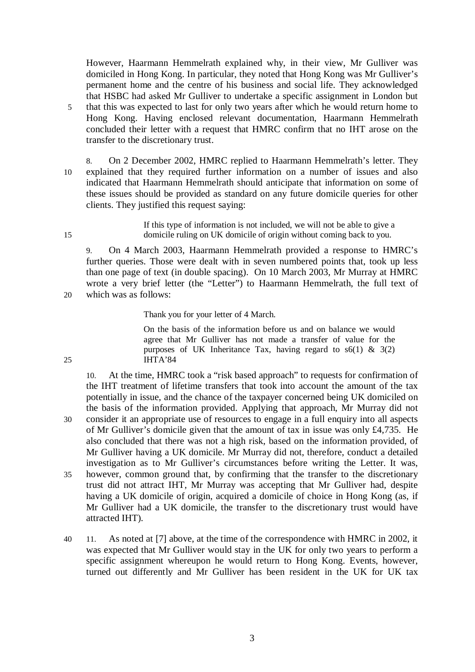However, Haarmann Hemmelrath explained why, in their view, Mr Gulliver was domiciled in Hong Kong. In particular, they noted that Hong Kong was Mr Gulliver's permanent home and the centre of his business and social life. They acknowledged that HSBC had asked Mr Gulliver to undertake a specific assignment in London but 5 that this was expected to last for only two years after which he would return home to Hong Kong. Having enclosed relevant documentation, Haarmann Hemmelrath concluded their letter with a request that HMRC confirm that no IHT arose on the transfer to the discretionary trust.

8. On 2 December 2002, HMRC replied to Haarmann Hemmelrath's letter. They 10 explained that they required further information on a number of issues and also indicated that Haarmann Hemmelrath should anticipate that information on some of these issues should be provided as standard on any future domicile queries for other clients. They justified this request saying:

If this type of information is not included, we will not be able to give a 15 domicile ruling on UK domicile of origin without coming back to you.

9. On 4 March 2003, Haarmann Hemmelrath provided a response to HMRC's further queries. Those were dealt with in seven numbered points that, took up less than one page of text (in double spacing). On 10 March 2003, Mr Murray at HMRC wrote a very brief letter (the "Letter") to Haarmann Hemmelrath, the full text of 20 which was as follows:

Thank you for your letter of 4 March.

On the basis of the information before us and on balance we would agree that Mr Gulliver has not made a transfer of value for the purposes of UK Inheritance Tax, having regard to  $s6(1)$  & 3(2) 25 IHTA'84

10. At the time, HMRC took a "risk based approach" to requests for confirmation of the IHT treatment of lifetime transfers that took into account the amount of the tax potentially in issue, and the chance of the taxpayer concerned being UK domiciled on the basis of the information provided. Applying that approach, Mr Murray did not 30 consider it an appropriate use of resources to engage in a full enquiry into all aspects of Mr Gulliver's domicile given that the amount of tax in issue was only £4,735. He also concluded that there was not a high risk, based on the information provided, of Mr Gulliver having a UK domicile. Mr Murray did not, therefore, conduct a detailed investigation as to Mr Gulliver's circumstances before writing the Letter. It was, 35 however, common ground that, by confirming that the transfer to the discretionary trust did not attract IHT, Mr Murray was accepting that Mr Gulliver had, despite having a UK domicile of origin, acquired a domicile of choice in Hong Kong (as, if Mr Gulliver had a UK domicile, the transfer to the discretionary trust would have attracted IHT).

40 11. As noted at [7] above, at the time of the correspondence with HMRC in 2002, it was expected that Mr Gulliver would stay in the UK for only two years to perform a specific assignment whereupon he would return to Hong Kong. Events, however, turned out differently and Mr Gulliver has been resident in the UK for UK tax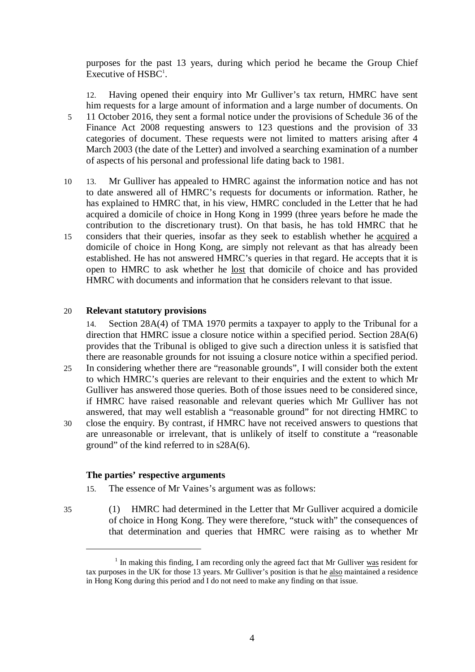purposes for the past 13 years, during which period he became the Group Chief Executive of HSBC<sup>1</sup>.

12. Having opened their enquiry into Mr Gulliver's tax return, HMRC have sent him requests for a large amount of information and a large number of documents. On 5 11 October 2016, they sent a formal notice under the provisions of Schedule 36 of the Finance Act 2008 requesting answers to 123 questions and the provision of 33 categories of document. These requests were not limited to matters arising after 4 March 2003 (the date of the Letter) and involved a searching examination of a number of aspects of his personal and professional life dating back to 1981.

10 13. Mr Gulliver has appealed to HMRC against the information notice and has not to date answered all of HMRC's requests for documents or information. Rather, he has explained to HMRC that, in his view, HMRC concluded in the Letter that he had acquired a domicile of choice in Hong Kong in 1999 (three years before he made the contribution to the discretionary trust). On that basis, he has told HMRC that he 15 considers that their queries, insofar as they seek to establish whether he acquired a domicile of choice in Hong Kong, are simply not relevant as that has already been established. He has not answered HMRC's queries in that regard. He accepts that it is open to HMRC to ask whether he lost that domicile of choice and has provided HMRC with documents and information that he considers relevant to that issue.

#### 20 **Relevant statutory provisions**

14. Section 28A(4) of TMA 1970 permits a taxpayer to apply to the Tribunal for a direction that HMRC issue a closure notice within a specified period. Section 28A(6) provides that the Tribunal is obliged to give such a direction unless it is satisfied that there are reasonable grounds for not issuing a closure notice within a specified period. 25 In considering whether there are "reasonable grounds", I will consider both the extent to which HMRC's queries are relevant to their enquiries and the extent to which Mr Gulliver has answered those queries. Both of those issues need to be considered since, if HMRC have raised reasonable and relevant queries which Mr Gulliver has not answered, that may well establish a "reasonable ground" for not directing HMRC to 30 close the enquiry. By contrast, if HMRC have not received answers to questions that are unreasonable or irrelevant, that is unlikely of itself to constitute a "reasonable ground" of the kind referred to in s28A(6).

#### **The parties' respective arguments**

- 15. The essence of Mr Vaines's argument was as follows:
- 

 $\overline{a}$ 

35 (1) HMRC had determined in the Letter that Mr Gulliver acquired a domicile of choice in Hong Kong. They were therefore, "stuck with" the consequences of that determination and queries that HMRC were raising as to whether Mr

<sup>&</sup>lt;sup>1</sup> In making this finding, I am recording only the agreed fact that Mr Gulliver was resident for tax purposes in the UK for those 13 years. Mr Gulliver's position is that he also maintained a residence in Hong Kong during this period and I do not need to make any finding on that issue.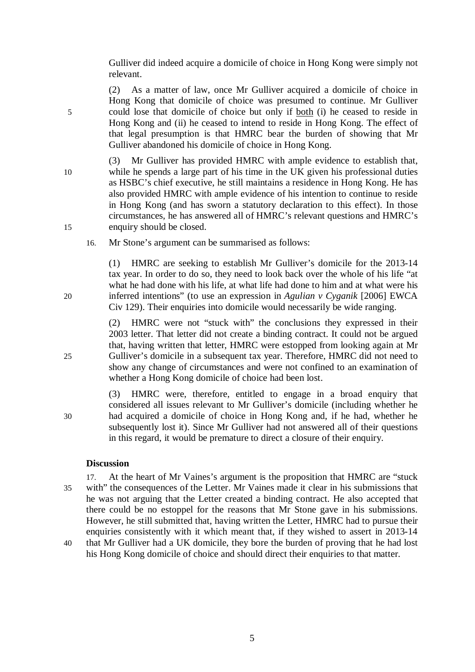Gulliver did indeed acquire a domicile of choice in Hong Kong were simply not relevant.

(2) As a matter of law, once Mr Gulliver acquired a domicile of choice in Hong Kong that domicile of choice was presumed to continue. Mr Gulliver 5 could lose that domicile of choice but only if both (i) he ceased to reside in Hong Kong and (ii) he ceased to intend to reside in Hong Kong. The effect of that legal presumption is that HMRC bear the burden of showing that Mr Gulliver abandoned his domicile of choice in Hong Kong.

(3) Mr Gulliver has provided HMRC with ample evidence to establish that, 10 while he spends a large part of his time in the UK given his professional duties as HSBC's chief executive, he still maintains a residence in Hong Kong. He has also provided HMRC with ample evidence of his intention to continue to reside in Hong Kong (and has sworn a statutory declaration to this effect). In those circumstances, he has answered all of HMRC's relevant questions and HMRC's 15 enquiry should be closed.

16. Mr Stone's argument can be summarised as follows:

(1) HMRC are seeking to establish Mr Gulliver's domicile for the 2013-14 tax year. In order to do so, they need to look back over the whole of his life "at what he had done with his life, at what life had done to him and at what were his 20 inferred intentions" (to use an expression in *Agulian v Cyganik* [2006] EWCA Civ 129). Their enquiries into domicile would necessarily be wide ranging.

(2) HMRC were not "stuck with" the conclusions they expressed in their 2003 letter. That letter did not create a binding contract. It could not be argued that, having written that letter, HMRC were estopped from looking again at Mr 25 Gulliver's domicile in a subsequent tax year. Therefore, HMRC did not need to show any change of circumstances and were not confined to an examination of whether a Hong Kong domicile of choice had been lost.

(3) HMRC were, therefore, entitled to engage in a broad enquiry that considered all issues relevant to Mr Gulliver's domicile (including whether he 30 had acquired a domicile of choice in Hong Kong and, if he had, whether he subsequently lost it). Since Mr Gulliver had not answered all of their questions in this regard, it would be premature to direct a closure of their enquiry.

## **Discussion**

17. At the heart of Mr Vaines's argument is the proposition that HMRC are "stuck 35 with" the consequences of the Letter. Mr Vaines made it clear in his submissions that he was not arguing that the Letter created a binding contract. He also accepted that there could be no estoppel for the reasons that Mr Stone gave in his submissions. However, he still submitted that, having written the Letter, HMRC had to pursue their enquiries consistently with it which meant that, if they wished to assert in 2013-14

40 that Mr Gulliver had a UK domicile, they bore the burden of proving that he had lost his Hong Kong domicile of choice and should direct their enquiries to that matter.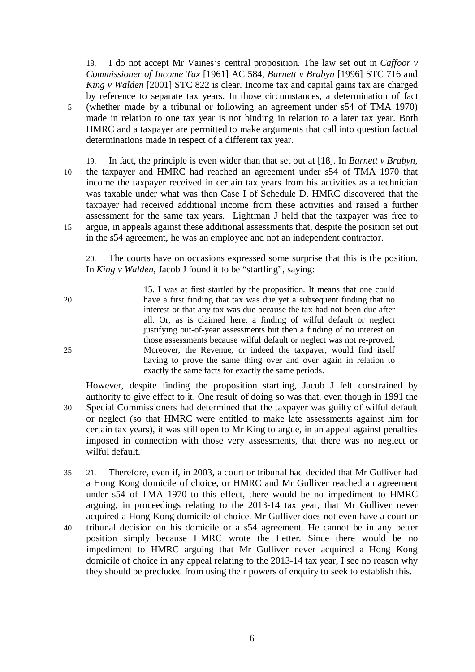18. I do not accept Mr Vaines's central proposition. The law set out in *Caffoor v Commissioner of Income Tax* [1961] AC 584, *Barnett v Brabyn* [1996] STC 716 and *King v Walden* [2001] STC 822 is clear. Income tax and capital gains tax are charged by reference to separate tax years. In those circumstances, a determination of fact 5 (whether made by a tribunal or following an agreement under s54 of TMA 1970) made in relation to one tax year is not binding in relation to a later tax year. Both HMRC and a taxpayer are permitted to make arguments that call into question factual determinations made in respect of a different tax year.

19. In fact, the principle is even wider than that set out at [18]. In *Barnett v Brabyn*, 10 the taxpayer and HMRC had reached an agreement under s54 of TMA 1970 that income the taxpayer received in certain tax years from his activities as a technician was taxable under what was then Case I of Schedule D. HMRC discovered that the taxpayer had received additional income from these activities and raised a further assessment for the same tax years. Lightman J held that the taxpayer was free to 15 argue, in appeals against these additional assessments that, despite the position set out in the s54 agreement, he was an employee and not an independent contractor.

20. The courts have on occasions expressed some surprise that this is the position. In *King v Walden*, Jacob J found it to be "startling", saying:

- 15. I was at first startled by the proposition. It means that one could 20 have a first finding that tax was due yet a subsequent finding that no interest or that any tax was due because the tax had not been due after all. Or, as is claimed here, a finding of wilful default or neglect justifying out-of-year assessments but then a finding of no interest on those assessments because wilful default or neglect was not re-proved. 25 Moreover, the Revenue, or indeed the taxpayer, would find itself having to prove the same thing over and over again in relation to exactly the same facts for exactly the same periods.
- However, despite finding the proposition startling, Jacob J felt constrained by authority to give effect to it. One result of doing so was that, even though in 1991 the 30 Special Commissioners had determined that the taxpayer was guilty of wilful default or neglect (so that HMRC were entitled to make late assessments against him for certain tax years), it was still open to Mr King to argue, in an appeal against penalties imposed in connection with those very assessments, that there was no neglect or wilful default.
- 35 21. Therefore, even if, in 2003, a court or tribunal had decided that Mr Gulliver had a Hong Kong domicile of choice, or HMRC and Mr Gulliver reached an agreement under s54 of TMA 1970 to this effect, there would be no impediment to HMRC arguing, in proceedings relating to the 2013-14 tax year, that Mr Gulliver never acquired a Hong Kong domicile of choice. Mr Gulliver does not even have a court or
- 40 tribunal decision on his domicile or a s54 agreement. He cannot be in any better position simply because HMRC wrote the Letter. Since there would be no impediment to HMRC arguing that Mr Gulliver never acquired a Hong Kong domicile of choice in any appeal relating to the 2013-14 tax year, I see no reason why they should be precluded from using their powers of enquiry to seek to establish this.

6